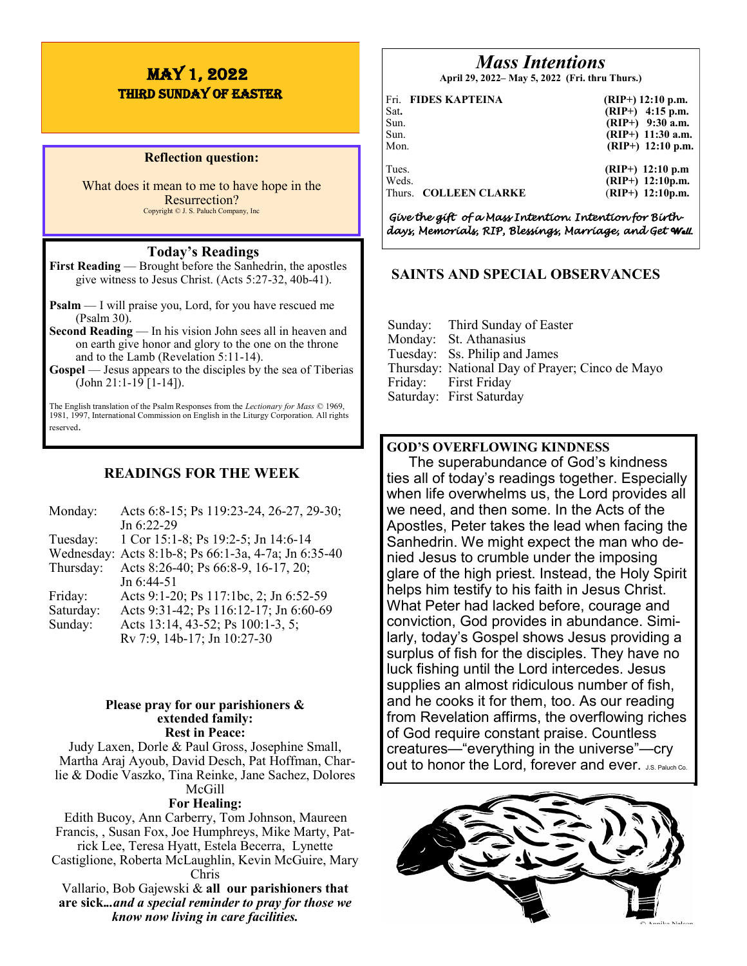# MAY 1, 2022 THIRD Sunday of EASTER

#### **Reflection question:**

What does it mean to me to have hope in the Resurrection? Copyright © J. S. Paluch Company, Inc

## **Today's Readings**

**First Reading** — Brought before the Sanhedrin, the apostles give witness to Jesus Christ. (Acts 5:27-32, 40b-41).

- **Psalm** I will praise you, Lord, for you have rescued me (Psalm 30).
- **Second Reading** In his vision John sees all in heaven and on earth give honor and glory to the one on the throne and to the Lamb (Revelation 5:11-14).
- **Gospel** Jesus appears to the disciples by the sea of Tiberias (John 21:1-19 [1-14]).

The English translation of the Psalm Responses from the *Lectionary for Mass* © 1969, 1981, 1997, International Commission on English in the Liturgy Corporation. All rights reserved.

# **READINGS FOR THE WEEK**

| Monday:   | Acts 6:8-15; Ps 119:23-24, 26-27, 29-30;             |
|-----------|------------------------------------------------------|
|           | Jn 6:22-29                                           |
| Tuesday:  | 1 Cor 15:1-8; Ps 19:2-5; Jn 14:6-14                  |
|           | Wednesday: Acts 8:1b-8; Ps 66:1-3a, 4-7a; Jn 6:35-40 |
| Thursday: | Acts 8:26-40; Ps 66:8-9, 16-17, 20;                  |
|           | Jn 6:44-51                                           |
| Friday:   | Acts 9:1-20; Ps 117:1bc, 2; Jn 6:52-59               |
| Saturday: | Acts 9:31-42; Ps 116:12-17; Jn 6:60-69               |
| Sunday:   | Acts 13:14, 43-52; Ps 100:1-3, 5;                    |
|           | Rv 7:9, 14b-17; Jn 10:27-30                          |

#### **Please pray for our parishioners & extended family: Rest in Peace:**

Judy Laxen, Dorle & Paul Gross, Josephine Small, Martha Araj Ayoub, David Desch, Pat Hoffman, Charlie & Dodie Vaszko, Tina Reinke, Jane Sachez, Dolores McGill

#### **For Healing:**

Edith Bucoy, Ann Carberry, Tom Johnson, Maureen Francis, , Susan Fox, Joe Humphreys, Mike Marty, Patrick Lee, Teresa Hyatt, Estela Becerra, Lynette Castiglione, Roberta McLaughlin, Kevin McGuire, Mary Chris Vallario, Bob Gajewski & **all our parishioners that** 

**are sick.***..and a special reminder to pray for those we know now living in care facilities.*

# *Mass Intentions*

**April 29, 2022– May 5, 2022 (Fri. thru Thurs.)**

| Sat.<br>Sun.<br>Sun.<br>Mon. | Fri. FIDES KAPTEINA   | $(RIP+)$ 12:10 p.m.<br>$(RIP+)$ 4:15 p.m.<br>$(RIP+)$ 9:30 a.m.<br>$(RIP+)$ 11:30 a.m.<br>$(RIP+)$ 12:10 p.m. |
|------------------------------|-----------------------|---------------------------------------------------------------------------------------------------------------|
| Tues.<br>Weds.               | Thurs. COLLEEN CLARKE | $(RIP+)$ 12:10 p.m<br>$(RIP+)$ 12:10p.m.<br>$(RIP+)$ 12:10p.m.                                                |

*Give the gift of a Mass Intention. Intention for Birthdays, Memorials, RIP, Blessings, Marriage, and Get Well.* 

# **SAINTS AND SPECIAL OBSERVANCES**

| Sunday: Third Sunday of Easter<br>Monday: St. Athanasius<br>Tuesday: Ss. Philip and James<br>Thursday: National Day of Prayer; Cinco de Mayo |
|----------------------------------------------------------------------------------------------------------------------------------------------|
| Friday: First Friday                                                                                                                         |
| Saturday: First Saturday                                                                                                                     |

# **GOD'S OVERFLOWING KINDNESS**

The superabundance of God's kindness ties all of today's readings together. Especially when life overwhelms us, the Lord provides all we need, and then some. In the Acts of the Apostles, Peter takes the lead when facing the Sanhedrin. We might expect the man who denied Jesus to crumble under the imposing glare of the high priest. Instead, the Holy Spirit helps him testify to his faith in Jesus Christ. What Peter had lacked before, courage and conviction, God provides in abundance. Similarly, today's Gospel shows Jesus providing a surplus of fish for the disciples. They have no luck fishing until the Lord intercedes. Jesus supplies an almost ridiculous number of fish, and he cooks it for them, too. As our reading from Revelation affirms, the overflowing riches of God require constant praise. Countless creatures—"everything in the universe"—cry out to honor the Lord, forever and ever. J.S. Paluch Co.